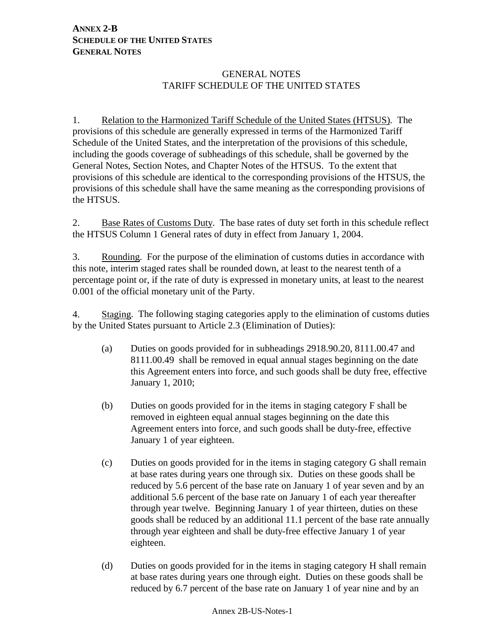# **ANNEX 2-B SCHEDULE OF THE UNITED STATES GENERAL NOTES**

# GENERAL NOTES TARIFF SCHEDULE OF THE UNITED STATES

1. Relation to the Harmonized Tariff Schedule of the United States (HTSUS). The provisions of this schedule are generally expressed in terms of the Harmonized Tariff Schedule of the United States, and the interpretation of the provisions of this schedule, including the goods coverage of subheadings of this schedule, shall be governed by the General Notes, Section Notes, and Chapter Notes of the HTSUS. To the extent that provisions of this schedule are identical to the corresponding provisions of the HTSUS, the provisions of this schedule shall have the same meaning as the corresponding provisions of the HTSUS.

2. Base Rates of Customs Duty. The base rates of duty set forth in this schedule reflect the HTSUS Column 1 General rates of duty in effect from January 1, 2004.

3. Rounding. For the purpose of the elimination of customs duties in accordance with this note, interim staged rates shall be rounded down, at least to the nearest tenth of a percentage point or, if the rate of duty is expressed in monetary units, at least to the nearest 0.001 of the official monetary unit of the Party.

4. Staging. The following staging categories apply to the elimination of customs duties by the United States pursuant to Article 2.3 (Elimination of Duties):

- (a) Duties on goods provided for in subheadings 2918.90.20, 8111.00.47 and 8111.00.49 shall be removed in equal annual stages beginning on the date this Agreement enters into force, and such goods shall be duty free, effective January 1, 2010;
- (b) Duties on goods provided for in the items in staging category F shall be removed in eighteen equal annual stages beginning on the date this Agreement enters into force, and such goods shall be duty-free, effective January 1 of year eighteen.
- (c) Duties on goods provided for in the items in staging category G shall remain at base rates during years one through six. Duties on these goods shall be reduced by 5.6 percent of the base rate on January 1 of year seven and by an additional 5.6 percent of the base rate on January 1 of each year thereafter through year twelve. Beginning January 1 of year thirteen, duties on these goods shall be reduced by an additional 11.1 percent of the base rate annually through year eighteen and shall be duty-free effective January 1 of year eighteen.
- (d) Duties on goods provided for in the items in staging category H shall remain at base rates during years one through eight. Duties on these goods shall be reduced by 6.7 percent of the base rate on January 1 of year nine and by an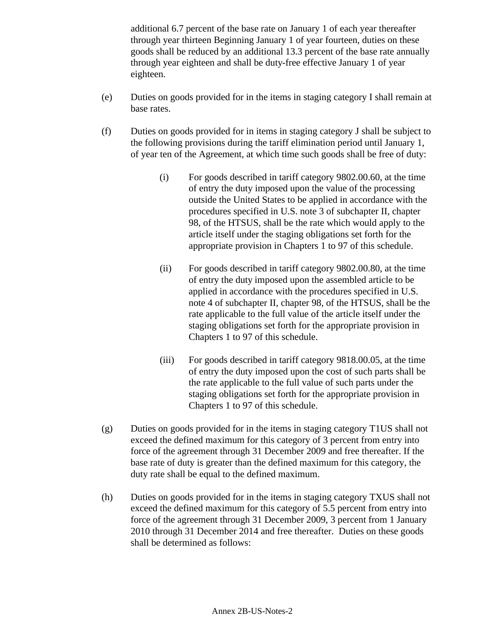additional 6.7 percent of the base rate on January 1 of each year thereafter through year thirteen Beginning January 1 of year fourteen, duties on these goods shall be reduced by an additional 13.3 percent of the base rate annually through year eighteen and shall be duty-free effective January 1 of year eighteen.

- (e) Duties on goods provided for in the items in staging category I shall remain at base rates.
- (f) Duties on goods provided for in items in staging category J shall be subject to the following provisions during the tariff elimination period until January 1, of year ten of the Agreement, at which time such goods shall be free of duty:
	- (i) For goods described in tariff category 9802.00.60, at the time of entry the duty imposed upon the value of the processing outside the United States to be applied in accordance with the procedures specified in U.S. note 3 of subchapter II, chapter 98, of the HTSUS, shall be the rate which would apply to the article itself under the staging obligations set forth for the appropriate provision in Chapters 1 to 97 of this schedule.
	- (ii) For goods described in tariff category 9802.00.80, at the time of entry the duty imposed upon the assembled article to be applied in accordance with the procedures specified in U.S. note 4 of subchapter II, chapter 98, of the HTSUS, shall be the rate applicable to the full value of the article itself under the staging obligations set forth for the appropriate provision in Chapters 1 to 97 of this schedule.
	- (iii) For goods described in tariff category 9818.00.05, at the time of entry the duty imposed upon the cost of such parts shall be the rate applicable to the full value of such parts under the staging obligations set forth for the appropriate provision in Chapters 1 to 97 of this schedule.
- (g) Duties on goods provided for in the items in staging category T1US shall not exceed the defined maximum for this category of 3 percent from entry into force of the agreement through 31 December 2009 and free thereafter. If the base rate of duty is greater than the defined maximum for this category, the duty rate shall be equal to the defined maximum.
- (h) Duties on goods provided for in the items in staging category TXUS shall not exceed the defined maximum for this category of 5.5 percent from entry into force of the agreement through 31 December 2009, 3 percent from 1 January 2010 through 31 December 2014 and free thereafter. Duties on these goods shall be determined as follows: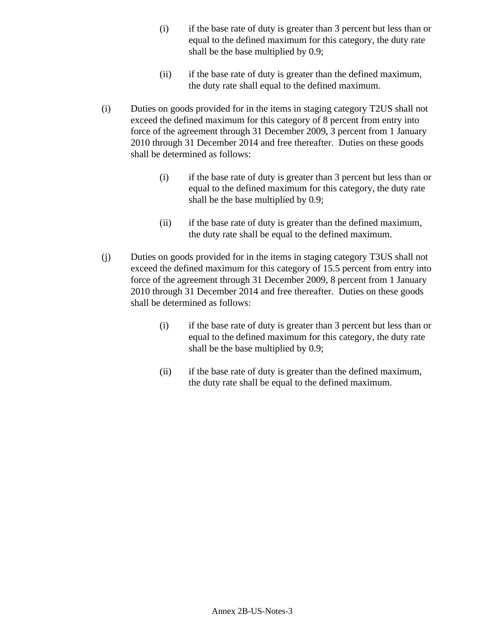- (i) if the base rate of duty is greater than 3 percent but less than or equal to the defined maximum for this category, the duty rate shall be the base multiplied by 0.9;
- (ii) if the base rate of duty is greater than the defined maximum, the duty rate shall equal to the defined maximum.
- (i) Duties on goods provided for in the items in staging category T2US shall not exceed the defined maximum for this category of 8 percent from entry into force of the agreement through 31 December 2009, 3 percent from 1 January 2010 through 31 December 2014 and free thereafter. Duties on these goods shall be determined as follows:
	- (i) if the base rate of duty is greater than 3 percent but less than or equal to the defined maximum for this category, the duty rate shall be the base multiplied by 0.9;
	- (ii) if the base rate of duty is greater than the defined maximum, the duty rate shall be equal to the defined maximum.
- (j) Duties on goods provided for in the items in staging category T3US shall not exceed the defined maximum for this category of 15.5 percent from entry into force of the agreement through 31 December 2009, 8 percent from 1 January 2010 through 31 December 2014 and free thereafter. Duties on these goods shall be determined as follows:
	- (i) if the base rate of duty is greater than 3 percent but less than or equal to the defined maximum for this category, the duty rate shall be the base multiplied by 0.9;
	- (ii) if the base rate of duty is greater than the defined maximum, the duty rate shall be equal to the defined maximum.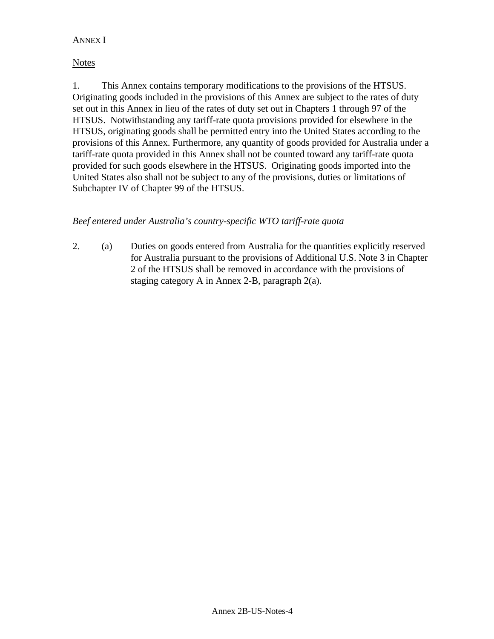## ANNEX I

### **Notes**

1. This Annex contains temporary modifications to the provisions of the HTSUS. Originating goods included in the provisions of this Annex are subject to the rates of duty set out in this Annex in lieu of the rates of duty set out in Chapters 1 through 97 of the HTSUS. Notwithstanding any tariff-rate quota provisions provided for elsewhere in the HTSUS, originating goods shall be permitted entry into the United States according to the provisions of this Annex. Furthermore, any quantity of goods provided for Australia under a tariff-rate quota provided in this Annex shall not be counted toward any tariff-rate quota provided for such goods elsewhere in the HTSUS. Originating goods imported into the United States also shall not be subject to any of the provisions, duties or limitations of Subchapter IV of Chapter 99 of the HTSUS.

# *Beef entered under Australia's country-specific WTO tariff-rate quota*

2. (a) Duties on goods entered from Australia for the quantities explicitly reserved for Australia pursuant to the provisions of Additional U.S. Note 3 in Chapter 2 of the HTSUS shall be removed in accordance with the provisions of staging category A in Annex 2-B, paragraph 2(a).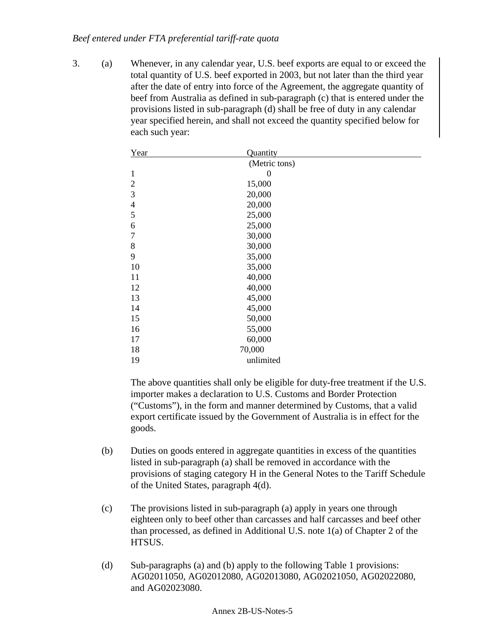### *Beef entered under FTA preferential tariff-rate quota*

3. (a) Whenever, in any calendar year, U.S. beef exports are equal to or exceed the total quantity of U.S. beef exported in 2003, but not later than the third year after the date of entry into force of the Agreement, the aggregate quantity of beef from Australia as defined in sub-paragraph (c) that is entered under the provisions listed in sub-paragraph (d) shall be free of duty in any calendar year specified herein, and shall not exceed the quantity specified below for each such year:

| Year           | Quantity       |  |
|----------------|----------------|--|
|                | (Metric tons)  |  |
| $\mathbf{1}$   | $\overline{0}$ |  |
| $\overline{2}$ | 15,000         |  |
| 3              | 20,000         |  |
| $\overline{4}$ | 20,000         |  |
| 5              | 25,000         |  |
| 6              | 25,000         |  |
| 7              | 30,000         |  |
| 8              | 30,000         |  |
| 9              | 35,000         |  |
| 10             | 35,000         |  |
| 11             | 40,000         |  |
| 12             | 40,000         |  |
| 13             | 45,000         |  |
| 14             | 45,000         |  |
| 15             | 50,000         |  |
| 16             | 55,000         |  |
| 17             | 60,000         |  |
| 18             | 70,000         |  |
| 19             | unlimited      |  |

- (b) Duties on goods entered in aggregate quantities in excess of the quantities listed in sub-paragraph (a) shall be removed in accordance with the provisions of staging category H in the General Notes to the Tariff Schedule of the United States, paragraph 4(d).
- (c) The provisions listed in sub-paragraph (a) apply in years one through eighteen only to beef other than carcasses and half carcasses and beef other than processed, as defined in Additional U.S. note 1(a) of Chapter 2 of the HTSUS.
- (d) Sub-paragraphs (a) and (b) apply to the following Table 1 provisions: AG02011050, AG02012080, AG02013080, AG02021050, AG02022080, and AG02023080.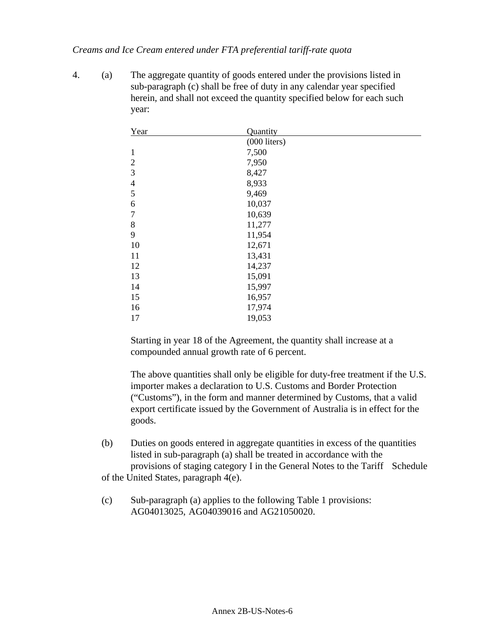### *Creams and Ice Cream entered under FTA preferential tariff-rate quota*

4. (a) The aggregate quantity of goods entered under the provisions listed in sub-paragraph (c) shall be free of duty in any calendar year specified herein, and shall not exceed the quantity specified below for each such year:

| Year           | Quantity       |
|----------------|----------------|
|                | $(000$ liters) |
| 1              | 7,500          |
| $\overline{2}$ | 7,950          |
| 3              | 8,427          |
| $\overline{4}$ | 8,933          |
| 5              | 9,469          |
| 6              | 10,037         |
| 7              | 10,639         |
| 8              | 11,277         |
| 9              | 11,954         |
| 10             | 12,671         |
| 11             | 13,431         |
| 12             | 14,237         |
| 13             | 15,091         |
| 14             | 15,997         |
| 15             | 16,957         |
| 16             | 17,974         |
| 17             | 19,053         |

Starting in year 18 of the Agreement, the quantity shall increase at a compounded annual growth rate of 6 percent.

The above quantities shall only be eligible for duty-free treatment if the U.S. importer makes a declaration to U.S. Customs and Border Protection ("Customs"), in the form and manner determined by Customs, that a valid export certificate issued by the Government of Australia is in effect for the goods.

(b) Duties on goods entered in aggregate quantities in excess of the quantities listed in sub-paragraph (a) shall be treated in accordance with the provisions of staging category I in the General Notes to the Tariff Schedule

of the United States, paragraph 4(e).

(c) Sub-paragraph (a) applies to the following Table 1 provisions: AG04013025, AG04039016 and AG21050020.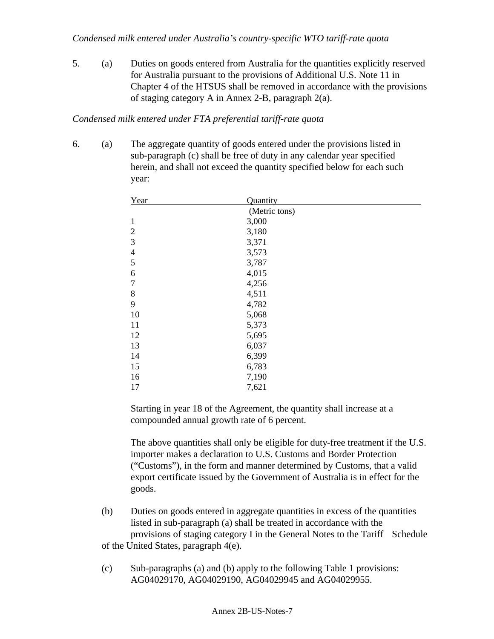5. (a) Duties on goods entered from Australia for the quantities explicitly reserved for Australia pursuant to the provisions of Additional U.S. Note 11 in Chapter 4 of the HTSUS shall be removed in accordance with the provisions of staging category A in Annex 2-B, paragraph 2(a).

## *Condensed milk entered under FTA preferential tariff-rate quota*

6. (a) The aggregate quantity of goods entered under the provisions listed in sub-paragraph (c) shall be free of duty in any calendar year specified herein, and shall not exceed the quantity specified below for each such year:

| Year           | Quantity      |
|----------------|---------------|
|                | (Metric tons) |
| $\mathbf{1}$   | 3,000         |
| 2              | 3,180         |
| 3              | 3,371         |
| $\overline{4}$ | 3,573         |
| 5              | 3,787         |
| 6              | 4,015         |
| 7              | 4,256         |
| 8              | 4,511         |
| 9              | 4,782         |
| 10             | 5,068         |
| 11             | 5,373         |
| 12             | 5,695         |
| 13             | 6,037         |
| 14             | 6,399         |
| 15             | 6,783         |
| 16             | 7,190         |
| 17             | 7,621         |

Starting in year 18 of the Agreement, the quantity shall increase at a compounded annual growth rate of 6 percent.

- (b) Duties on goods entered in aggregate quantities in excess of the quantities listed in sub-paragraph (a) shall be treated in accordance with the provisions of staging category I in the General Notes to the Tariff Schedule of the United States, paragraph 4(e).
- (c) Sub-paragraphs (a) and (b) apply to the following Table 1 provisions: AG04029170, AG04029190, AG04029945 and AG04029955.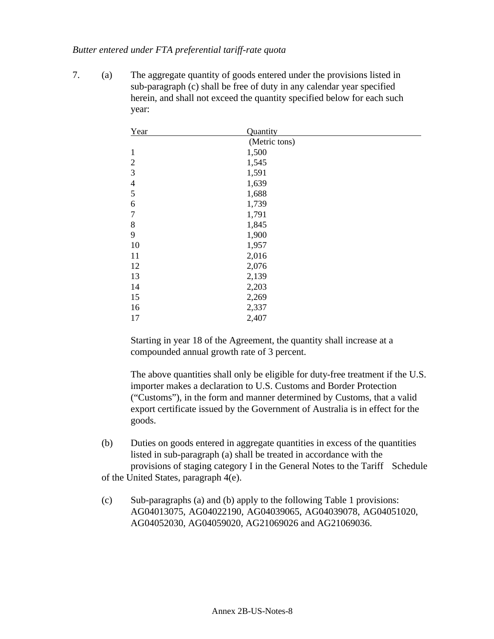#### *Butter entered under FTA preferential tariff-rate quota*

7. (a) The aggregate quantity of goods entered under the provisions listed in sub-paragraph (c) shall be free of duty in any calendar year specified herein, and shall not exceed the quantity specified below for each such year:

| Year           | Quantity      |
|----------------|---------------|
|                | (Metric tons) |
| $\mathbf{1}$   | 1,500         |
| $\overline{2}$ | 1,545         |
| $\mathfrak{Z}$ | 1,591         |
| $\overline{4}$ | 1,639         |
| 5              | 1,688         |
| 6              | 1,739         |
| $\overline{7}$ | 1,791         |
| 8              | 1,845         |
| 9              | 1,900         |
| 10             | 1,957         |
| 11             | 2,016         |
| 12             | 2,076         |
| 13             | 2,139         |
| 14             | 2,203         |
| 15             | 2,269         |
| 16             | 2,337         |
| 17             | 2,407         |

Starting in year 18 of the Agreement, the quantity shall increase at a compounded annual growth rate of 3 percent.

The above quantities shall only be eligible for duty-free treatment if the U.S. importer makes a declaration to U.S. Customs and Border Protection ("Customs"), in the form and manner determined by Customs, that a valid export certificate issued by the Government of Australia is in effect for the goods.

(b) Duties on goods entered in aggregate quantities in excess of the quantities listed in sub-paragraph (a) shall be treated in accordance with the provisions of staging category I in the General Notes to the Tariff Schedule

of the United States, paragraph 4(e).

(c) Sub-paragraphs (a) and (b) apply to the following Table 1 provisions: AG04013075, AG04022190, AG04039065, AG04039078, AG04051020, AG04052030, AG04059020, AG21069026 and AG21069036.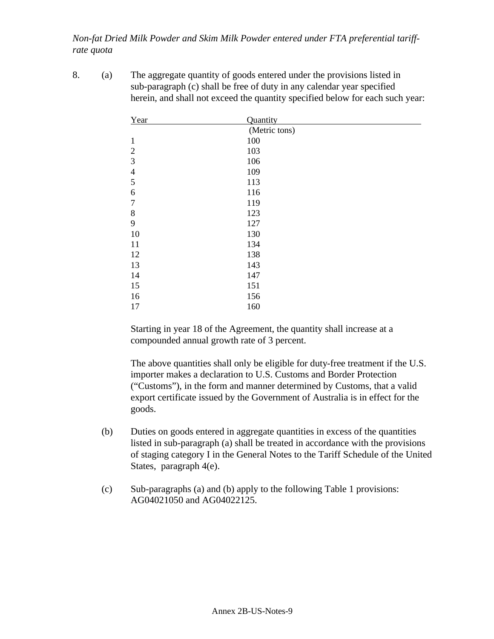*Non-fat Dried Milk Powder and Skim Milk Powder entered under FTA preferential tariffrate quota*

8. (a) The aggregate quantity of goods entered under the provisions listed in sub-paragraph (c) shall be free of duty in any calendar year specified herein, and shall not exceed the quantity specified below for each such year:

| Year           | Quantity      |
|----------------|---------------|
|                | (Metric tons) |
| $\mathbf{1}$   | 100           |
| $\overline{2}$ | 103           |
| 3              | 106           |
| $\overline{4}$ | 109           |
| 5              | 113           |
| 6              | 116           |
| $\tau$         | 119           |
| 8              | 123           |
| 9              | 127           |
| 10             | 130           |
| 11             | 134           |
| 12             | 138           |
| 13             | 143           |
| 14             | 147           |
| 15             | 151           |
| 16             | 156           |
| 17             | 160           |

Starting in year 18 of the Agreement, the quantity shall increase at a compounded annual growth rate of 3 percent.

- (b) Duties on goods entered in aggregate quantities in excess of the quantities listed in sub-paragraph (a) shall be treated in accordance with the provisions of staging category I in the General Notes to the Tariff Schedule of the United States, paragraph 4(e).
- (c) Sub-paragraphs (a) and (b) apply to the following Table 1 provisions: AG04021050 and AG04022125.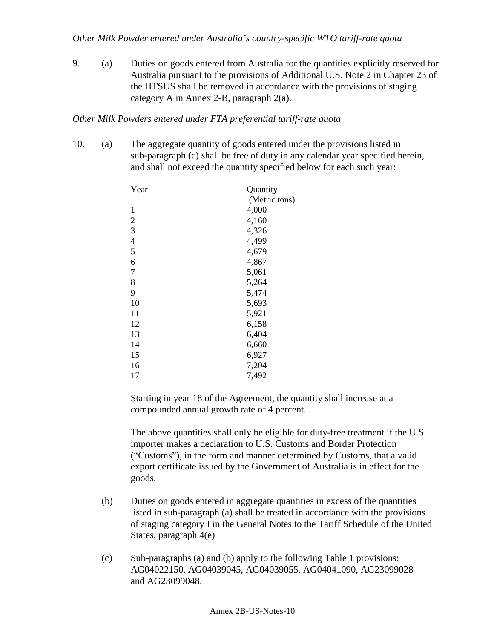9. (a) Duties on goods entered from Australia for the quantities explicitly reserved for Australia pursuant to the provisions of Additional U.S. Note 2 in Chapter 23 of the HTSUS shall be removed in accordance with the provisions of staging category A in Annex 2-B, paragraph 2(a).

#### *Other Milk Powders entered under FTA preferential tariff-rate quota*

10. (a) The aggregate quantity of goods entered under the provisions listed in sub-paragraph (c) shall be free of duty in any calendar year specified herein, and shall not exceed the quantity specified below for each such year:

| Year             | Quantity      |
|------------------|---------------|
|                  | (Metric tons) |
| $\mathbf{1}$     | 4,000         |
| $\overline{2}$   | 4,160         |
| 3                | 4,326         |
| $\overline{4}$   | 4,499         |
| 5                | 4,679         |
| 6                | 4,867         |
| $\boldsymbol{7}$ | 5,061         |
| 8                | 5,264         |
| 9                | 5,474         |
| 10               | 5,693         |
| 11               | 5,921         |
| 12               | 6,158         |
| 13               | 6,404         |
| 14               | 6,660         |
| 15               | 6,927         |
| 16               | 7,204         |
| 17               | 7,492         |

Starting in year 18 of the Agreement, the quantity shall increase at a compounded annual growth rate of 4 percent.

- (b) Duties on goods entered in aggregate quantities in excess of the quantities listed in sub-paragraph (a) shall be treated in accordance with the provisions of staging category I in the General Notes to the Tariff Schedule of the United States, paragraph 4(e)
- (c) Sub-paragraphs (a) and (b) apply to the following Table 1 provisions: AG04022150, AG04039045, AG04039055, AG04041090, AG23099028 and AG23099048.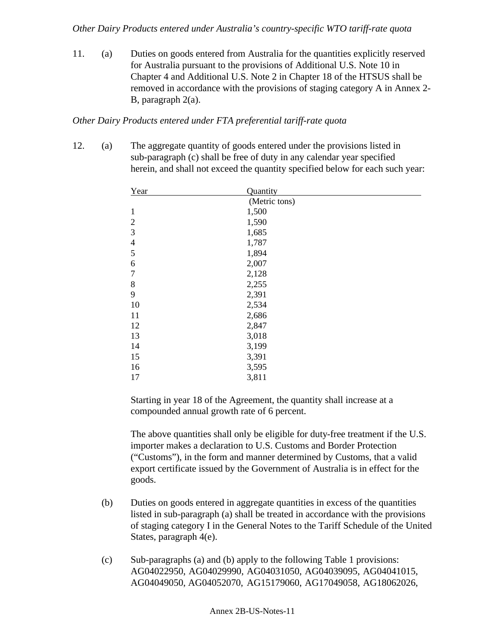*Other Dairy Products entered under Australia's country-specific WTO tariff-rate quota*

11. (a) Duties on goods entered from Australia for the quantities explicitly reserved for Australia pursuant to the provisions of Additional U.S. Note 10 in Chapter 4 and Additional U.S. Note 2 in Chapter 18 of the HTSUS shall be removed in accordance with the provisions of staging category A in Annex 2- B, paragraph 2(a).

# *Other Dairy Products entered under FTA preferential tariff-rate quota*

12. (a) The aggregate quantity of goods entered under the provisions listed in sub-paragraph (c) shall be free of duty in any calendar year specified herein, and shall not exceed the quantity specified below for each such year:

| Year           | Quantity      |
|----------------|---------------|
|                | (Metric tons) |
| $\mathbf{1}$   | 1,500         |
| $\overline{2}$ | 1,590         |
| 3              | 1,685         |
| $\overline{4}$ | 1,787         |
| 5              | 1,894         |
| 6              | 2,007         |
| $\overline{7}$ | 2,128         |
| 8              | 2,255         |
| 9              | 2,391         |
| 10             | 2,534         |
| 11             | 2,686         |
| 12             | 2,847         |
| 13             | 3,018         |
| 14             | 3,199         |
| 15             | 3,391         |
| 16             | 3,595         |
| 17             | 3,811         |

Starting in year 18 of the Agreement, the quantity shall increase at a compounded annual growth rate of 6 percent.

- (b) Duties on goods entered in aggregate quantities in excess of the quantities listed in sub-paragraph (a) shall be treated in accordance with the provisions of staging category I in the General Notes to the Tariff Schedule of the United States, paragraph 4(e).
- (c) Sub-paragraphs (a) and (b) apply to the following Table 1 provisions: AG04022950, AG04029990, AG04031050, AG04039095, AG04041015, AG04049050, AG04052070, AG15179060, AG17049058, AG18062026,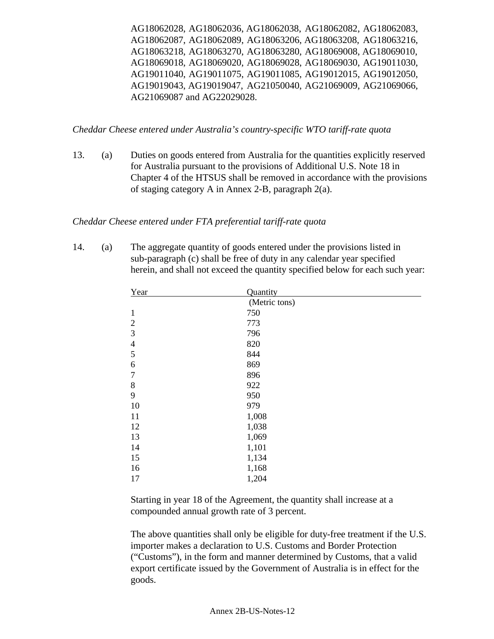AG18062028, AG18062036, AG18062038, AG18062082, AG18062083, AG18062087, AG18062089, AG18063206, AG18063208, AG18063216, AG18063218, AG18063270, AG18063280, AG18069008, AG18069010, AG18069018, AG18069020, AG18069028, AG18069030, AG19011030, AG19011040, AG19011075, AG19011085, AG19012015, AG19012050, AG19019043, AG19019047, AG21050040, AG21069009, AG21069066, AG21069087 and AG22029028.

*Cheddar Cheese entered under Australia's country-specific WTO tariff-rate quota*

13. (a) Duties on goods entered from Australia for the quantities explicitly reserved for Australia pursuant to the provisions of Additional U.S. Note 18 in Chapter 4 of the HTSUS shall be removed in accordance with the provisions of staging category A in Annex 2-B, paragraph 2(a).

### *Cheddar Cheese entered under FTA preferential tariff-rate quota*

14. (a) The aggregate quantity of goods entered under the provisions listed in sub-paragraph (c) shall be free of duty in any calendar year specified herein, and shall not exceed the quantity specified below for each such year:

| Year             | Quantity      |
|------------------|---------------|
|                  | (Metric tons) |
| $\mathbf{1}$     | 750           |
| $\overline{2}$   | 773           |
| $\mathfrak{Z}$   | 796           |
| $\overline{4}$   | 820           |
| 5                | 844           |
| 6                | 869           |
| $\boldsymbol{7}$ | 896           |
| 8                | 922           |
| 9                | 950           |
| 10               | 979           |
| 11               | 1,008         |
| 12               | 1,038         |
| 13               | 1,069         |
| 14               | 1,101         |
| 15               | 1,134         |
| 16               | 1,168         |
| 17               | 1,204         |

Starting in year 18 of the Agreement, the quantity shall increase at a compounded annual growth rate of 3 percent.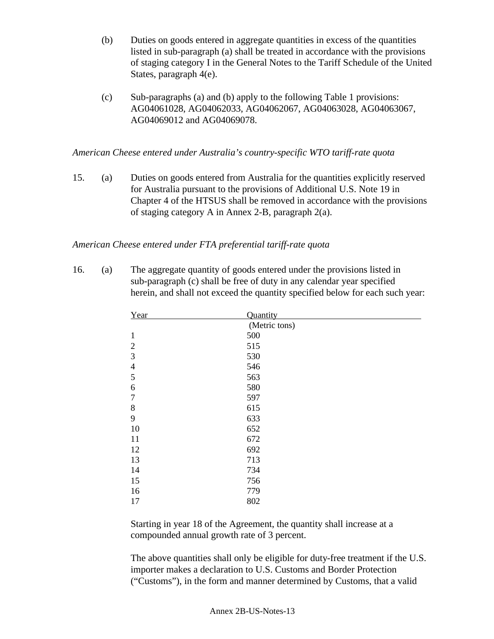- (b) Duties on goods entered in aggregate quantities in excess of the quantities listed in sub-paragraph (a) shall be treated in accordance with the provisions of staging category I in the General Notes to the Tariff Schedule of the United States, paragraph 4(e).
- (c) Sub-paragraphs (a) and (b) apply to the following Table 1 provisions: AG04061028, AG04062033, AG04062067, AG04063028, AG04063067, AG04069012 and AG04069078.

*American Cheese entered under Australia's country-specific WTO tariff-rate quota*

15. (a) Duties on goods entered from Australia for the quantities explicitly reserved for Australia pursuant to the provisions of Additional U.S. Note 19 in Chapter 4 of the HTSUS shall be removed in accordance with the provisions of staging category A in Annex 2-B, paragraph 2(a).

# *American Cheese entered under FTA preferential tariff-rate quota*

16. (a) The aggregate quantity of goods entered under the provisions listed in sub-paragraph (c) shall be free of duty in any calendar year specified herein, and shall not exceed the quantity specified below for each such year:

| Year           | Quantity      |
|----------------|---------------|
|                | (Metric tons) |
| $\mathbf{1}$   | 500           |
| $\overline{2}$ | 515           |
| 3              | 530           |
| $\overline{4}$ | 546           |
| 5              | 563           |
| 6              | 580           |
| $\tau$         | 597           |
| $8\,$          | 615           |
| 9              | 633           |
| 10             | 652           |
| 11             | 672           |
| 12             | 692           |
| 13             | 713           |
| 14             | 734           |
| 15             | 756           |
| 16             | 779           |
| 17             | 802           |

Starting in year 18 of the Agreement, the quantity shall increase at a compounded annual growth rate of 3 percent.

The above quantities shall only be eligible for duty-free treatment if the U.S. importer makes a declaration to U.S. Customs and Border Protection ("Customs"), in the form and manner determined by Customs, that a valid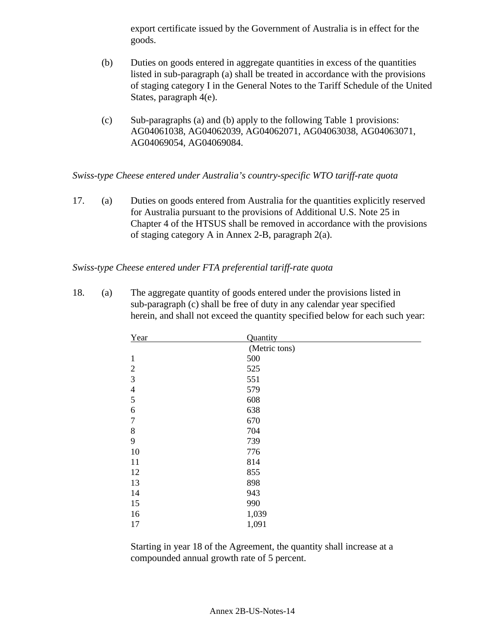export certificate issued by the Government of Australia is in effect for the goods.

- (b) Duties on goods entered in aggregate quantities in excess of the quantities listed in sub-paragraph (a) shall be treated in accordance with the provisions of staging category I in the General Notes to the Tariff Schedule of the United States, paragraph 4(e).
- (c) Sub-paragraphs (a) and (b) apply to the following Table 1 provisions: AG04061038, AG04062039, AG04062071, AG04063038, AG04063071, AG04069054, AG04069084.

*Swiss-type Cheese entered under Australia's country-specific WTO tariff-rate quota*

17. (a) Duties on goods entered from Australia for the quantities explicitly reserved for Australia pursuant to the provisions of Additional U.S. Note 25 in Chapter 4 of the HTSUS shall be removed in accordance with the provisions of staging category A in Annex 2-B, paragraph 2(a).

### *Swiss-type Cheese entered under FTA preferential tariff-rate quota*

18. (a) The aggregate quantity of goods entered under the provisions listed in sub-paragraph (c) shall be free of duty in any calendar year specified herein, and shall not exceed the quantity specified below for each such year:

| Year           | Quantity      |
|----------------|---------------|
|                | (Metric tons) |
| $\mathbf{1}$   | 500           |
| $\overline{2}$ | 525           |
| 3              | 551           |
| $\overline{4}$ | 579           |
| 5              | 608           |
| 6              | 638           |
| 7              | 670           |
| $8\,$          | 704           |
| 9              | 739           |
| 10             | 776           |
| 11             | 814           |
| 12             | 855           |
| 13             | 898           |
| 14             | 943           |
| 15             | 990           |
| 16             | 1,039         |
| 17             | 1,091         |

Starting in year 18 of the Agreement, the quantity shall increase at a compounded annual growth rate of 5 percent.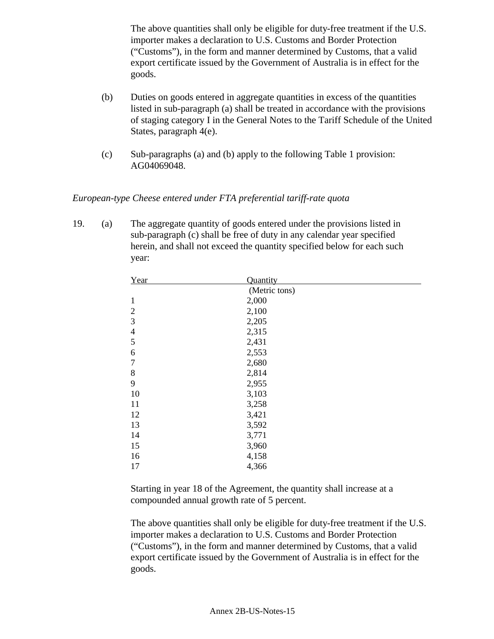The above quantities shall only be eligible for duty-free treatment if the U.S. importer makes a declaration to U.S. Customs and Border Protection ("Customs"), in the form and manner determined by Customs, that a valid export certificate issued by the Government of Australia is in effect for the goods.

- (b) Duties on goods entered in aggregate quantities in excess of the quantities listed in sub-paragraph (a) shall be treated in accordance with the provisions of staging category I in the General Notes to the Tariff Schedule of the United States, paragraph 4(e).
- (c) Sub-paragraphs (a) and (b) apply to the following Table 1 provision: AG04069048.

*European-type Cheese entered under FTA preferential tariff-rate quota*

19. (a) The aggregate quantity of goods entered under the provisions listed in sub-paragraph (c) shall be free of duty in any calendar year specified herein, and shall not exceed the quantity specified below for each such year:

| Year           | Quantity      |
|----------------|---------------|
|                | (Metric tons) |
| $\mathbf{1}$   | 2,000         |
| 2              | 2,100         |
| 3              | 2,205         |
| $\overline{4}$ | 2,315         |
| 5              | 2,431         |
| 6              | 2,553         |
| 7              | 2,680         |
| 8              | 2,814         |
| 9              | 2,955         |
| 10             | 3,103         |
| 11             | 3,258         |
| 12             | 3,421         |
| 13             | 3,592         |
| 14             | 3,771         |
| 15             | 3,960         |
| 16             | 4,158         |
| 17             | 4,366         |

Starting in year 18 of the Agreement, the quantity shall increase at a compounded annual growth rate of 5 percent.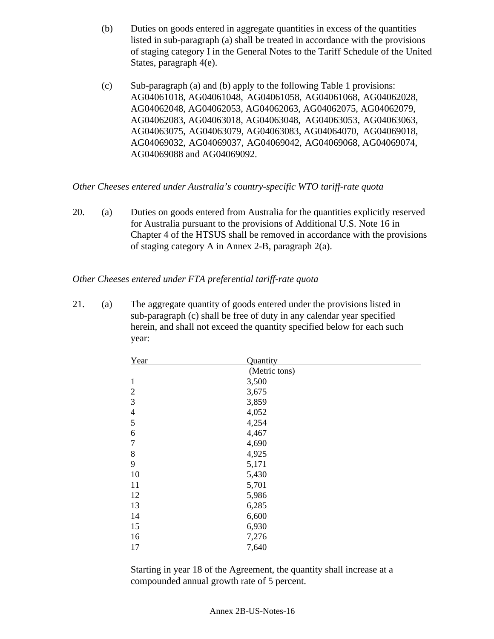- (b) Duties on goods entered in aggregate quantities in excess of the quantities listed in sub-paragraph (a) shall be treated in accordance with the provisions of staging category I in the General Notes to the Tariff Schedule of the United States, paragraph 4(e).
- (c) Sub-paragraph (a) and (b) apply to the following Table 1 provisions: AG04061018, AG04061048, AG04061058, AG04061068, AG04062028, AG04062048, AG04062053, AG04062063, AG04062075, AG04062079, AG04062083, AG04063018, AG04063048, AG04063053, AG04063063, AG04063075, AG04063079, AG04063083, AG04064070, AG04069018, AG04069032, AG04069037, AG04069042, AG04069068, AG04069074, AG04069088 and AG04069092.

*Other Cheeses entered under Australia's country-specific WTO tariff-rate quota*

20. (a) Duties on goods entered from Australia for the quantities explicitly reserved for Australia pursuant to the provisions of Additional U.S. Note 16 in Chapter 4 of the HTSUS shall be removed in accordance with the provisions of staging category A in Annex 2-B, paragraph 2(a).

*Other Cheeses entered under FTA preferential tariff-rate quota*

21. (a) The aggregate quantity of goods entered under the provisions listed in sub-paragraph (c) shall be free of duty in any calendar year specified herein, and shall not exceed the quantity specified below for each such year:

| Year           | Quantity      |
|----------------|---------------|
|                | (Metric tons) |
| $\mathbf{1}$   | 3,500         |
| $\overline{2}$ | 3,675         |
| 3              | 3,859         |
| $\overline{4}$ | 4,052         |
| 5              | 4,254         |
| 6              | 4,467         |
| $\overline{7}$ | 4,690         |
| 8              | 4,925         |
| 9              | 5,171         |
| 10             | 5,430         |
| 11             | 5,701         |
| 12             | 5,986         |
| 13             | 6,285         |
| 14             | 6,600         |
| 15             | 6,930         |
| 16             | 7,276         |
| 17             | 7,640         |

Starting in year 18 of the Agreement, the quantity shall increase at a compounded annual growth rate of 5 percent.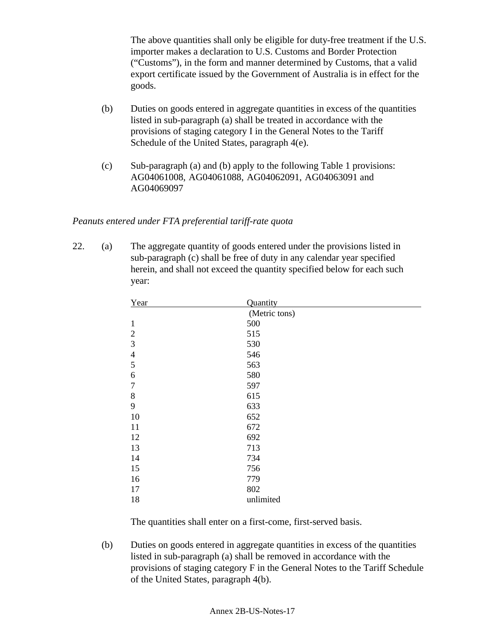The above quantities shall only be eligible for duty-free treatment if the U.S. importer makes a declaration to U.S. Customs and Border Protection ("Customs"), in the form and manner determined by Customs, that a valid export certificate issued by the Government of Australia is in effect for the goods.

- (b) Duties on goods entered in aggregate quantities in excess of the quantities listed in sub-paragraph (a) shall be treated in accordance with the provisions of staging category I in the General Notes to the Tariff Schedule of the United States, paragraph 4(e).
- (c) Sub-paragraph (a) and (b) apply to the following Table 1 provisions: AG04061008, AG04061088, AG04062091, AG04063091 and AG04069097

# *Peanuts entered under FTA preferential tariff-rate quota*

22. (a) The aggregate quantity of goods entered under the provisions listed in sub-paragraph (c) shall be free of duty in any calendar year specified herein, and shall not exceed the quantity specified below for each such year:

| Year           | Quantity      |
|----------------|---------------|
|                | (Metric tons) |
| $\mathbf{1}$   | 500           |
| $\overline{2}$ | 515           |
| 3              | 530           |
| $\overline{4}$ | 546           |
| 5              | 563           |
| 6              | 580           |
| 7              | 597           |
| $8\,$          | 615           |
| 9              | 633           |
| 10             | 652           |
| 11             | 672           |
| 12             | 692           |
| 13             | 713           |
| 14             | 734           |
| 15             | 756           |
| 16             | 779           |
| 17             | 802           |
| 18             | unlimited     |

The quantities shall enter on a first-come, first-served basis.

(b) Duties on goods entered in aggregate quantities in excess of the quantities listed in sub-paragraph (a) shall be removed in accordance with the provisions of staging category F in the General Notes to the Tariff Schedule of the United States, paragraph 4(b).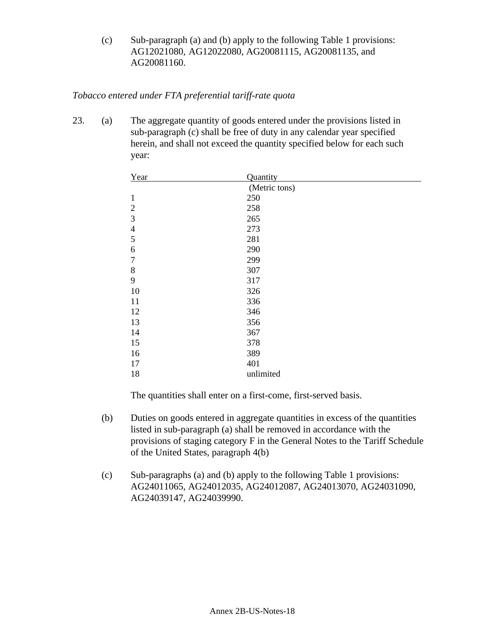(c) Sub-paragraph (a) and (b) apply to the following Table 1 provisions: AG12021080, AG12022080, AG20081115, AG20081135, and AG20081160.

# *Tobacco entered under FTA preferential tariff-rate quota*

23. (a) The aggregate quantity of goods entered under the provisions listed in sub-paragraph (c) shall be free of duty in any calendar year specified herein, and shall not exceed the quantity specified below for each such year:

| Year             | Quantity      |
|------------------|---------------|
|                  | (Metric tons) |
| $\mathbf{1}$     | 250           |
| $\overline{2}$   | 258           |
| $\mathfrak{Z}$   | 265           |
| $\overline{4}$   | 273           |
| 5                | 281           |
| 6                | 290           |
| $\boldsymbol{7}$ | 299           |
| 8                | 307           |
| 9                | 317           |
| 10               | 326           |
| 11               | 336           |
| 12               | 346           |
| 13               | 356           |
| 14               | 367           |
| 15               | 378           |
| 16               | 389           |
| 17               | 401           |
| 18               | unlimited     |

- (b) Duties on goods entered in aggregate quantities in excess of the quantities listed in sub-paragraph (a) shall be removed in accordance with the provisions of staging category F in the General Notes to the Tariff Schedule of the United States, paragraph 4(b)
- (c) Sub-paragraphs (a) and (b) apply to the following Table 1 provisions: AG24011065, AG24012035, AG24012087, AG24013070, AG24031090, AG24039147, AG24039990.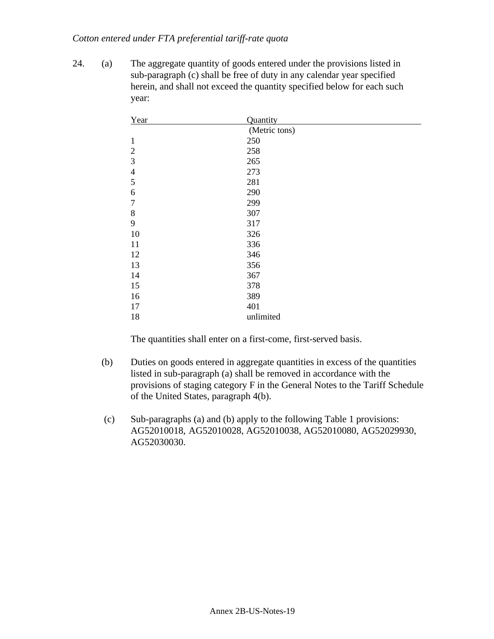#### *Cotton entered under FTA preferential tariff-rate quota*

24. (a) The aggregate quantity of goods entered under the provisions listed in sub-paragraph (c) shall be free of duty in any calendar year specified herein, and shall not exceed the quantity specified below for each such year:

| Year           | Quantity      |
|----------------|---------------|
|                | (Metric tons) |
| 1              | 250           |
| $\overline{2}$ | 258           |
| 3              | 265           |
| $\overline{4}$ | 273           |
| $\mathfrak{S}$ | 281           |
| 6              | 290           |
| $\overline{7}$ | 299           |
| $8\,$          | 307           |
| 9              | 317           |
| 10             | 326           |
| 11             | 336           |
| 12             | 346           |
| 13             | 356           |
| 14             | 367           |
| 15             | 378           |
| 16             | 389           |
| 17             | 401           |
| 18             | unlimited     |

- (b) Duties on goods entered in aggregate quantities in excess of the quantities listed in sub-paragraph (a) shall be removed in accordance with the provisions of staging category F in the General Notes to the Tariff Schedule of the United States, paragraph 4(b).
- (c) Sub-paragraphs (a) and (b) apply to the following Table 1 provisions: AG52010018, AG52010028, AG52010038, AG52010080, AG52029930, AG52030030.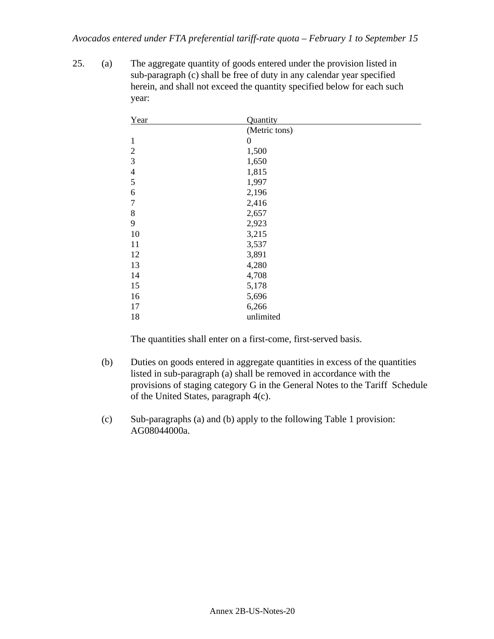25. (a) The aggregate quantity of goods entered under the provision listed in sub-paragraph (c) shall be free of duty in any calendar year specified herein, and shall not exceed the quantity specified below for each such year:

| Year           | Quantity      |
|----------------|---------------|
|                | (Metric tons) |
| $\mathbf{1}$   | 0             |
| $\overline{2}$ | 1,500         |
| $\mathfrak{Z}$ | 1,650         |
| $\overline{4}$ | 1,815         |
| 5              | 1,997         |
| 6              | 2,196         |
| $\overline{7}$ | 2,416         |
| 8              | 2,657         |
| 9              | 2,923         |
| 10             | 3,215         |
| 11             | 3,537         |
| 12             | 3,891         |
| 13             | 4,280         |
| 14             | 4,708         |
| 15             | 5,178         |
| 16             | 5,696         |
| 17             | 6,266         |
| 18             | unlimited     |

- (b) Duties on goods entered in aggregate quantities in excess of the quantities listed in sub-paragraph (a) shall be removed in accordance with the provisions of staging category G in the General Notes to the Tariff Schedule of the United States, paragraph 4(c).
- (c) Sub-paragraphs (a) and (b) apply to the following Table 1 provision: AG08044000a.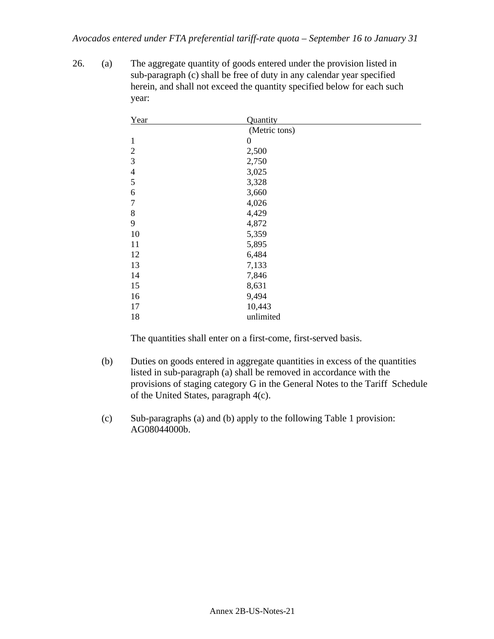26. (a) The aggregate quantity of goods entered under the provision listed in sub-paragraph (c) shall be free of duty in any calendar year specified herein, and shall not exceed the quantity specified below for each such year:

| Year           | Quantity       |
|----------------|----------------|
|                | (Metric tons)  |
| $\mathbf{1}$   | $\overline{0}$ |
| $\overline{2}$ | 2,500          |
| $\mathfrak{Z}$ | 2,750          |
| $\overline{4}$ | 3,025          |
| 5              | 3,328          |
| 6              | 3,660          |
| 7              | 4,026          |
| $8\,$          | 4,429          |
| 9              | 4,872          |
| 10             | 5,359          |
| 11             | 5,895          |
| 12             | 6,484          |
| 13             | 7,133          |
| 14             | 7,846          |
| 15             | 8,631          |
| 16             | 9,494          |
| 17             | 10,443         |
| 18             | unlimited      |

- (b) Duties on goods entered in aggregate quantities in excess of the quantities listed in sub-paragraph (a) shall be removed in accordance with the provisions of staging category G in the General Notes to the Tariff Schedule of the United States, paragraph 4(c).
- (c) Sub-paragraphs (a) and (b) apply to the following Table 1 provision: AG08044000b.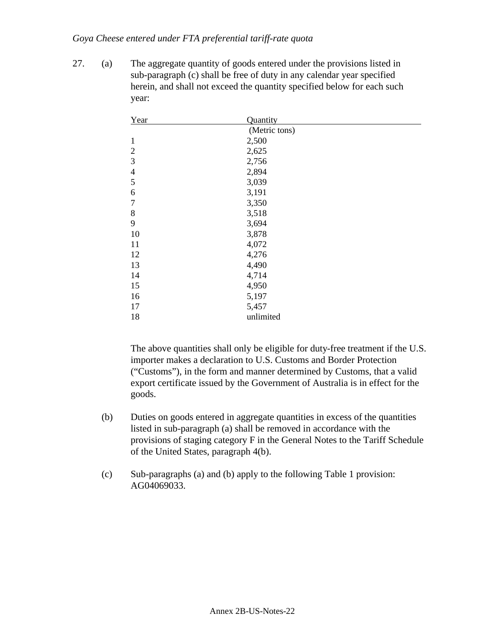#### *Goya Cheese entered under FTA preferential tariff-rate quota*

27. (a) The aggregate quantity of goods entered under the provisions listed in sub-paragraph (c) shall be free of duty in any calendar year specified herein, and shall not exceed the quantity specified below for each such year:

| Year           | Quantity      |
|----------------|---------------|
|                | (Metric tons) |
| $\mathbf{1}$   | 2,500         |
| $\overline{2}$ | 2,625         |
| 3              | 2,756         |
| $\overline{4}$ | 2,894         |
| 5              | 3,039         |
| 6              | 3,191         |
| $\overline{7}$ | 3,350         |
| $8\,$          | 3,518         |
| 9              | 3,694         |
| 10             | 3,878         |
| 11             | 4,072         |
| 12             | 4,276         |
| 13             | 4,490         |
| 14             | 4,714         |
| 15             | 4,950         |
| 16             | 5,197         |
| 17             | 5,457         |
| 18             | unlimited     |

- (b) Duties on goods entered in aggregate quantities in excess of the quantities listed in sub-paragraph (a) shall be removed in accordance with the provisions of staging category F in the General Notes to the Tariff Schedule of the United States, paragraph 4(b).
- (c) Sub-paragraphs (a) and (b) apply to the following Table 1 provision: AG04069033.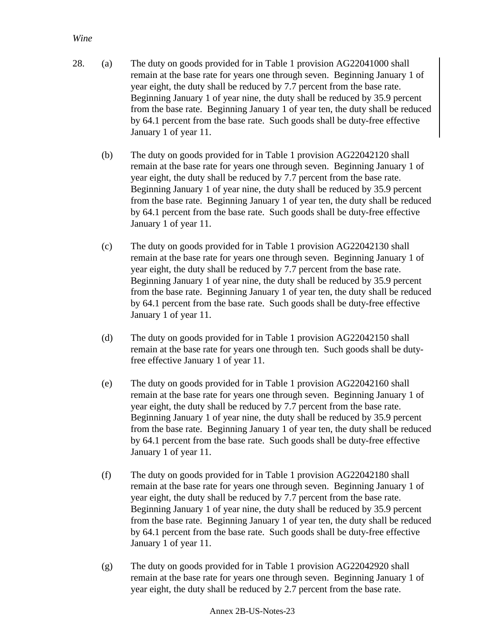### *Wine*

- 28. (a) The duty on goods provided for in Table 1 provision AG22041000 shall remain at the base rate for years one through seven. Beginning January 1 of year eight, the duty shall be reduced by 7.7 percent from the base rate. Beginning January 1 of year nine, the duty shall be reduced by 35.9 percent from the base rate. Beginning January 1 of year ten, the duty shall be reduced by 64.1 percent from the base rate. Such goods shall be duty-free effective January 1 of year 11.
	- (b) The duty on goods provided for in Table 1 provision AG22042120 shall remain at the base rate for years one through seven. Beginning January 1 of year eight, the duty shall be reduced by 7.7 percent from the base rate. Beginning January 1 of year nine, the duty shall be reduced by 35.9 percent from the base rate. Beginning January 1 of year ten, the duty shall be reduced by 64.1 percent from the base rate. Such goods shall be duty-free effective January 1 of year 11.
	- (c) The duty on goods provided for in Table 1 provision AG22042130 shall remain at the base rate for years one through seven. Beginning January 1 of year eight, the duty shall be reduced by 7.7 percent from the base rate. Beginning January 1 of year nine, the duty shall be reduced by 35.9 percent from the base rate. Beginning January 1 of year ten, the duty shall be reduced by 64.1 percent from the base rate. Such goods shall be duty-free effective January 1 of year 11.
	- (d) The duty on goods provided for in Table 1 provision AG22042150 shall remain at the base rate for years one through ten. Such goods shall be dutyfree effective January 1 of year 11.
	- (e) The duty on goods provided for in Table 1 provision AG22042160 shall remain at the base rate for years one through seven. Beginning January 1 of year eight, the duty shall be reduced by 7.7 percent from the base rate. Beginning January 1 of year nine, the duty shall be reduced by 35.9 percent from the base rate. Beginning January 1 of year ten, the duty shall be reduced by 64.1 percent from the base rate. Such goods shall be duty-free effective January 1 of year 11.
	- (f) The duty on goods provided for in Table 1 provision AG22042180 shall remain at the base rate for years one through seven. Beginning January 1 of year eight, the duty shall be reduced by 7.7 percent from the base rate. Beginning January 1 of year nine, the duty shall be reduced by 35.9 percent from the base rate. Beginning January 1 of year ten, the duty shall be reduced by 64.1 percent from the base rate. Such goods shall be duty-free effective January 1 of year 11.
	- (g) The duty on goods provided for in Table 1 provision AG22042920 shall remain at the base rate for years one through seven. Beginning January 1 of year eight, the duty shall be reduced by 2.7 percent from the base rate.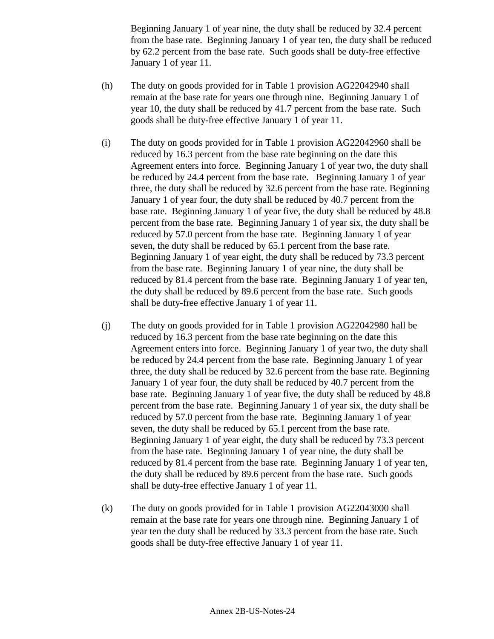Beginning January 1 of year nine, the duty shall be reduced by 32.4 percent from the base rate. Beginning January 1 of year ten, the duty shall be reduced by 62.2 percent from the base rate. Such goods shall be duty-free effective January 1 of year 11.

- (h) The duty on goods provided for in Table 1 provision AG22042940 shall remain at the base rate for years one through nine. Beginning January 1 of year 10, the duty shall be reduced by 41.7 percent from the base rate. Such goods shall be duty-free effective January 1 of year 11.
- (i) The duty on goods provided for in Table 1 provision AG22042960 shall be reduced by 16.3 percent from the base rate beginning on the date this Agreement enters into force. Beginning January 1 of year two, the duty shall be reduced by 24.4 percent from the base rate. Beginning January 1 of year three, the duty shall be reduced by 32.6 percent from the base rate. Beginning January 1 of year four, the duty shall be reduced by 40.7 percent from the base rate. Beginning January 1 of year five, the duty shall be reduced by 48.8 percent from the base rate. Beginning January 1 of year six, the duty shall be reduced by 57.0 percent from the base rate. Beginning January 1 of year seven, the duty shall be reduced by 65.1 percent from the base rate. Beginning January 1 of year eight, the duty shall be reduced by 73.3 percent from the base rate. Beginning January 1 of year nine, the duty shall be reduced by 81.4 percent from the base rate. Beginning January 1 of year ten, the duty shall be reduced by 89.6 percent from the base rate. Such goods shall be duty-free effective January 1 of year 11.
- (j) The duty on goods provided for in Table 1 provision AG22042980 hall be reduced by 16.3 percent from the base rate beginning on the date this Agreement enters into force. Beginning January 1 of year two, the duty shall be reduced by 24.4 percent from the base rate. Beginning January 1 of year three, the duty shall be reduced by 32.6 percent from the base rate. Beginning January 1 of year four, the duty shall be reduced by 40.7 percent from the base rate. Beginning January 1 of year five, the duty shall be reduced by 48.8 percent from the base rate. Beginning January 1 of year six, the duty shall be reduced by 57.0 percent from the base rate. Beginning January 1 of year seven, the duty shall be reduced by 65.1 percent from the base rate. Beginning January 1 of year eight, the duty shall be reduced by 73.3 percent from the base rate. Beginning January 1 of year nine, the duty shall be reduced by 81.4 percent from the base rate. Beginning January 1 of year ten, the duty shall be reduced by 89.6 percent from the base rate. Such goods shall be duty-free effective January 1 of year 11.
- (k) The duty on goods provided for in Table 1 provision AG22043000 shall remain at the base rate for years one through nine. Beginning January 1 of year ten the duty shall be reduced by 33.3 percent from the base rate. Such goods shall be duty-free effective January 1 of year 11.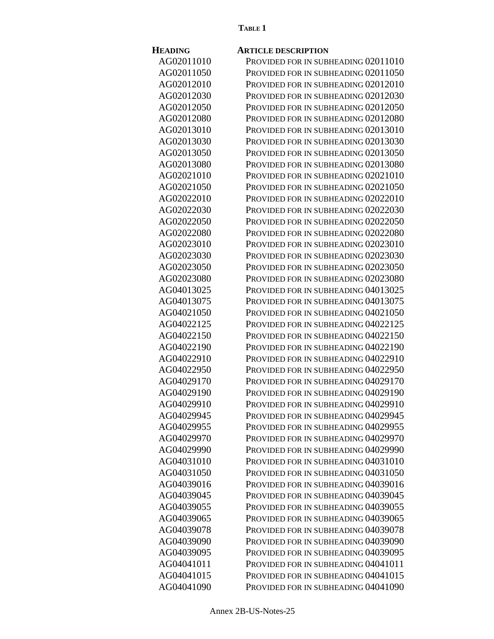#### **TABLE 1**

| <b>HEADING</b> | <b>ARTICLE DESCRIPTION</b>          |
|----------------|-------------------------------------|
| AG02011010     | PROVIDED FOR IN SUBHEADING 02011010 |
| AG02011050     | PROVIDED FOR IN SUBHEADING 02011050 |
| AG02012010     | PROVIDED FOR IN SUBHEADING 02012010 |
| AG02012030     | PROVIDED FOR IN SUBHEADING 02012030 |
| AG02012050     | PROVIDED FOR IN SUBHEADING 02012050 |
| AG02012080     | PROVIDED FOR IN SUBHEADING 02012080 |
| AG02013010     | PROVIDED FOR IN SUBHEADING 02013010 |
| AG02013030     | PROVIDED FOR IN SUBHEADING 02013030 |
| AG02013050     | PROVIDED FOR IN SUBHEADING 02013050 |
| AG02013080     | PROVIDED FOR IN SUBHEADING 02013080 |
| AG02021010     | PROVIDED FOR IN SUBHEADING 02021010 |
| AG02021050     | PROVIDED FOR IN SUBHEADING 02021050 |
| AG02022010     | PROVIDED FOR IN SUBHEADING 02022010 |
| AG02022030     | PROVIDED FOR IN SUBHEADING 02022030 |
| AG02022050     | PROVIDED FOR IN SUBHEADING 02022050 |
| AG02022080     | PROVIDED FOR IN SUBHEADING 02022080 |
| AG02023010     | Provided for in subheading 02023010 |
| AG02023030     | PROVIDED FOR IN SUBHEADING 02023030 |
| AG02023050     | PROVIDED FOR IN SUBHEADING 02023050 |
| AG02023080     | PROVIDED FOR IN SUBHEADING 02023080 |
| AG04013025     | PROVIDED FOR IN SUBHEADING 04013025 |
| AG04013075     | PROVIDED FOR IN SUBHEADING 04013075 |
| AG04021050     | PROVIDED FOR IN SUBHEADING 04021050 |
| AG04022125     | PROVIDED FOR IN SUBHEADING 04022125 |
| AG04022150     | PROVIDED FOR IN SUBHEADING 04022150 |
| AG04022190     | PROVIDED FOR IN SUBHEADING 04022190 |
| AG04022910     | PROVIDED FOR IN SUBHEADING 04022910 |
| AG04022950     | Provided for in subheading 04022950 |
| AG04029170     | PROVIDED FOR IN SUBHEADING 04029170 |
| AG04029190     | PROVIDED FOR IN SUBHEADING 04029190 |
| AG04029910     | PROVIDED FOR IN SUBHEADING 04029910 |
| AG04029945     | PROVIDED FOR IN SUBHEADING 04029945 |
| AG04029955     | PROVIDED FOR IN SUBHEADING 04029955 |
| AG04029970     | PROVIDED FOR IN SUBHEADING 04029970 |
| AG04029990     | PROVIDED FOR IN SUBHEADING 04029990 |
| AG04031010     | PROVIDED FOR IN SUBHEADING 04031010 |
| AG04031050     | PROVIDED FOR IN SUBHEADING 04031050 |
| AG04039016     | PROVIDED FOR IN SUBHEADING 04039016 |
| AG04039045     | PROVIDED FOR IN SUBHEADING 04039045 |
| AG04039055     | PROVIDED FOR IN SUBHEADING 04039055 |
| AG04039065     | PROVIDED FOR IN SUBHEADING 04039065 |
| AG04039078     | PROVIDED FOR IN SUBHEADING 04039078 |
| AG04039090     | PROVIDED FOR IN SUBHEADING 04039090 |
| AG04039095     | PROVIDED FOR IN SUBHEADING 04039095 |
| AG04041011     | PROVIDED FOR IN SUBHEADING 04041011 |
| AG04041015     | PROVIDED FOR IN SUBHEADING 04041015 |
| AG04041090     | PROVIDED FOR IN SUBHEADING 04041090 |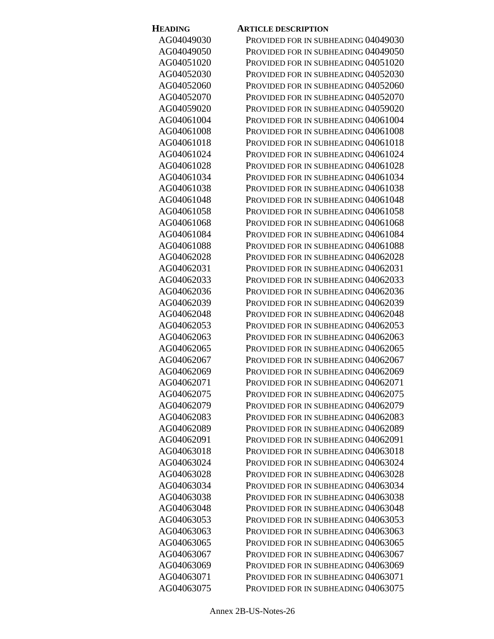| <b>HEADING</b> | <b>ARTICLE DESCRIPTION</b>          |
|----------------|-------------------------------------|
| AG04049030     | PROVIDED FOR IN SUBHEADING 04049030 |
| AG04049050     | PROVIDED FOR IN SUBHEADING 04049050 |
| AG04051020     | PROVIDED FOR IN SUBHEADING 04051020 |
| AG04052030     | PROVIDED FOR IN SUBHEADING 04052030 |
| AG04052060     | PROVIDED FOR IN SUBHEADING 04052060 |
| AG04052070     | PROVIDED FOR IN SUBHEADING 04052070 |
| AG04059020     | PROVIDED FOR IN SUBHEADING 04059020 |
| AG04061004     | PROVIDED FOR IN SUBHEADING 04061004 |
| AG04061008     | PROVIDED FOR IN SUBHEADING 04061008 |
| AG04061018     | PROVIDED FOR IN SUBHEADING 04061018 |
| AG04061024     | PROVIDED FOR IN SUBHEADING 04061024 |
| AG04061028     | PROVIDED FOR IN SUBHEADING 04061028 |
| AG04061034     | PROVIDED FOR IN SUBHEADING 04061034 |
| AG04061038     | PROVIDED FOR IN SUBHEADING 04061038 |
| AG04061048     | PROVIDED FOR IN SUBHEADING 04061048 |
| AG04061058     | PROVIDED FOR IN SUBHEADING 04061058 |
| AG04061068     | PROVIDED FOR IN SUBHEADING 04061068 |
| AG04061084     | PROVIDED FOR IN SUBHEADING 04061084 |
| AG04061088     | PROVIDED FOR IN SUBHEADING 04061088 |
| AG04062028     | PROVIDED FOR IN SUBHEADING 04062028 |
| AG04062031     | PROVIDED FOR IN SUBHEADING 04062031 |
| AG04062033     | PROVIDED FOR IN SUBHEADING 04062033 |
| AG04062036     | PROVIDED FOR IN SUBHEADING 04062036 |
| AG04062039     | PROVIDED FOR IN SUBHEADING 04062039 |
| AG04062048     | PROVIDED FOR IN SUBHEADING 04062048 |
| AG04062053     | PROVIDED FOR IN SUBHEADING 04062053 |
| AG04062063     | PROVIDED FOR IN SUBHEADING 04062063 |
| AG04062065     | PROVIDED FOR IN SUBHEADING 04062065 |
| AG04062067     | PROVIDED FOR IN SUBHEADING 04062067 |
| AG04062069     | PROVIDED FOR IN SUBHEADING 04062069 |
| AG04062071     | PROVIDED FOR IN SUBHEADING 04062071 |
| AG04062075     | PROVIDED FOR IN SUBHEADING 04062075 |
| AG04062079     | PROVIDED FOR IN SUBHEADING 04062079 |
| AG04062083     | PROVIDED FOR IN SUBHEADING 04062083 |
| AG04062089     | PROVIDED FOR IN SUBHEADING 04062089 |
| AG04062091     | PROVIDED FOR IN SUBHEADING 04062091 |
| AG04063018     | PROVIDED FOR IN SUBHEADING 04063018 |
| AG04063024     | PROVIDED FOR IN SUBHEADING 04063024 |
| AG04063028     | PROVIDED FOR IN SUBHEADING 04063028 |
| AG04063034     | PROVIDED FOR IN SUBHEADING 04063034 |
| AG04063038     | PROVIDED FOR IN SUBHEADING 04063038 |
| AG04063048     | PROVIDED FOR IN SUBHEADING 04063048 |
| AG04063053     | PROVIDED FOR IN SUBHEADING 04063053 |
| AG04063063     | PROVIDED FOR IN SUBHEADING 04063063 |
| AG04063065     | PROVIDED FOR IN SUBHEADING 04063065 |
| AG04063067     | PROVIDED FOR IN SUBHEADING 04063067 |
| AG04063069     | PROVIDED FOR IN SUBHEADING 04063069 |
| AG04063071     | PROVIDED FOR IN SUBHEADING 04063071 |
| AG04063075     | PROVIDED FOR IN SUBHEADING 04063075 |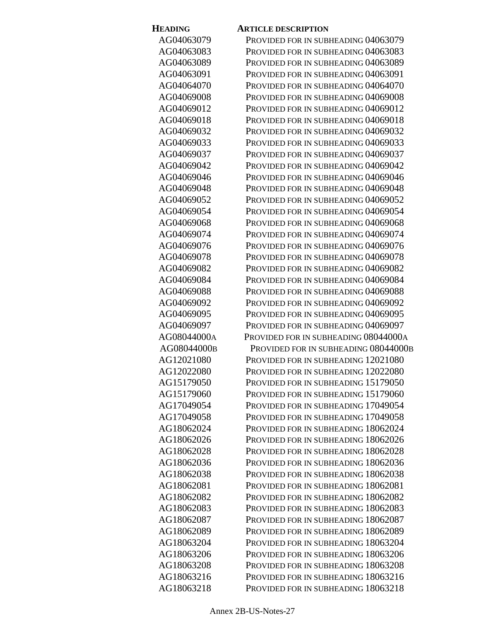| <b>HEADING</b> | <b>ARTICLE DESCRIPTION</b>           |
|----------------|--------------------------------------|
| AG04063079     | PROVIDED FOR IN SUBHEADING 04063079  |
| AG04063083     | PROVIDED FOR IN SUBHEADING 04063083  |
| AG04063089     | PROVIDED FOR IN SUBHEADING 04063089  |
| AG04063091     | PROVIDED FOR IN SUBHEADING 04063091  |
| AG04064070     | PROVIDED FOR IN SUBHEADING 04064070  |
| AG04069008     | PROVIDED FOR IN SUBHEADING 04069008  |
| AG04069012     | PROVIDED FOR IN SUBHEADING 04069012  |
| AG04069018     | PROVIDED FOR IN SUBHEADING 04069018  |
| AG04069032     | PROVIDED FOR IN SUBHEADING 04069032  |
| AG04069033     | PROVIDED FOR IN SUBHEADING 04069033  |
| AG04069037     | PROVIDED FOR IN SUBHEADING 04069037  |
| AG04069042     | PROVIDED FOR IN SUBHEADING 04069042  |
| AG04069046     | PROVIDED FOR IN SUBHEADING 04069046  |
| AG04069048     | PROVIDED FOR IN SUBHEADING 04069048  |
| AG04069052     | PROVIDED FOR IN SUBHEADING 04069052  |
| AG04069054     | PROVIDED FOR IN SUBHEADING 04069054  |
| AG04069068     | PROVIDED FOR IN SUBHEADING 04069068  |
| AG04069074     | PROVIDED FOR IN SUBHEADING 04069074  |
| AG04069076     | PROVIDED FOR IN SUBHEADING 04069076  |
| AG04069078     | PROVIDED FOR IN SUBHEADING 04069078  |
| AG04069082     | PROVIDED FOR IN SUBHEADING 04069082  |
| AG04069084     | PROVIDED FOR IN SUBHEADING 04069084  |
| AG04069088     | PROVIDED FOR IN SUBHEADING 04069088  |
| AG04069092     | PROVIDED FOR IN SUBHEADING 04069092  |
| AG04069095     | PROVIDED FOR IN SUBHEADING 04069095  |
| AG04069097     | PROVIDED FOR IN SUBHEADING 04069097  |
| AG08044000A    | PROVIDED FOR IN SUBHEADING 08044000A |
| AG08044000B    | PROVIDED FOR IN SUBHEADING 08044000B |
| AG12021080     | PROVIDED FOR IN SUBHEADING 12021080  |
| AG12022080     | PROVIDED FOR IN SUBHEADING 12022080  |
| AG15179050     | PROVIDED FOR IN SUBHEADING 15179050  |
| AG15179060     | PROVIDED FOR IN SUBHEADING 15179060  |
| AG17049054     | PROVIDED FOR IN SUBHEADING 17049054  |
| AG17049058     | PROVIDED FOR IN SUBHEADING 17049058  |
| AG18062024     | PROVIDED FOR IN SUBHEADING 18062024  |
| AG18062026     | PROVIDED FOR IN SUBHEADING 18062026  |
| AG18062028     | PROVIDED FOR IN SUBHEADING 18062028  |
| AG18062036     | PROVIDED FOR IN SUBHEADING 18062036  |
| AG18062038     | PROVIDED FOR IN SUBHEADING 18062038  |
| AG18062081     | PROVIDED FOR IN SUBHEADING 18062081  |
| AG18062082     | PROVIDED FOR IN SUBHEADING 18062082  |
| AG18062083     | PROVIDED FOR IN SUBHEADING 18062083  |
| AG18062087     | PROVIDED FOR IN SUBHEADING 18062087  |
| AG18062089     | PROVIDED FOR IN SUBHEADING 18062089  |
| AG18063204     | PROVIDED FOR IN SUBHEADING 18063204  |
| AG18063206     | PROVIDED FOR IN SUBHEADING 18063206  |
| AG18063208     | PROVIDED FOR IN SUBHEADING 18063208  |
| AG18063216     | PROVIDED FOR IN SUBHEADING 18063216  |
| AG18063218     | PROVIDED FOR IN SUBHEADING 18063218  |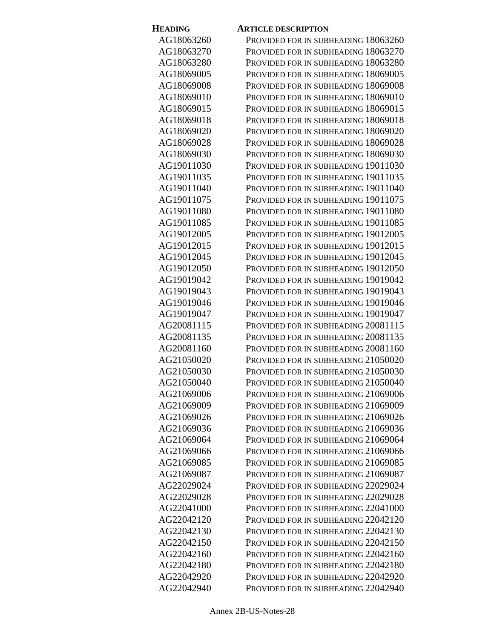| <b>HEADING</b>           | <b>ARTICLE DESCRIPTION</b>                                                 |
|--------------------------|----------------------------------------------------------------------------|
| AG18063260               | PROVIDED FOR IN SUBHEADING 18063260                                        |
| AG18063270               | PROVIDED FOR IN SUBHEADING 18063270                                        |
| AG18063280               | PROVIDED FOR IN SUBHEADING 18063280                                        |
| AG18069005               | PROVIDED FOR IN SUBHEADING 18069005                                        |
| AG18069008               | PROVIDED FOR IN SUBHEADING 18069008                                        |
| AG18069010               | PROVIDED FOR IN SUBHEADING 18069010                                        |
| AG18069015               | PROVIDED FOR IN SUBHEADING 18069015                                        |
| AG18069018               | PROVIDED FOR IN SUBHEADING 18069018                                        |
| AG18069020               | PROVIDED FOR IN SUBHEADING 18069020                                        |
| AG18069028               | PROVIDED FOR IN SUBHEADING 18069028                                        |
| AG18069030               | PROVIDED FOR IN SUBHEADING 18069030                                        |
| AG19011030               | PROVIDED FOR IN SUBHEADING 19011030                                        |
| AG19011035               | PROVIDED FOR IN SUBHEADING 19011035                                        |
| AG19011040               | PROVIDED FOR IN SUBHEADING 19011040                                        |
| AG19011075               | PROVIDED FOR IN SUBHEADING 19011075                                        |
| AG19011080               | PROVIDED FOR IN SUBHEADING 19011080                                        |
| AG19011085               | PROVIDED FOR IN SUBHEADING 19011085                                        |
| AG19012005               | PROVIDED FOR IN SUBHEADING 19012005                                        |
| AG19012015               | PROVIDED FOR IN SUBHEADING 19012015                                        |
| AG19012045               | PROVIDED FOR IN SUBHEADING 19012045                                        |
| AG19012050               | PROVIDED FOR IN SUBHEADING 19012050                                        |
| AG19019042               | PROVIDED FOR IN SUBHEADING 19019042                                        |
| AG19019043               | PROVIDED FOR IN SUBHEADING 19019043                                        |
| AG19019046               | PROVIDED FOR IN SUBHEADING 19019046                                        |
| AG19019047               | PROVIDED FOR IN SUBHEADING 19019047                                        |
| AG20081115               | PROVIDED FOR IN SUBHEADING 20081115                                        |
| AG20081135               | PROVIDED FOR IN SUBHEADING 20081135                                        |
| AG20081160               | PROVIDED FOR IN SUBHEADING 20081160                                        |
| AG21050020               | PROVIDED FOR IN SUBHEADING 21050020                                        |
| AG21050030               | PROVIDED FOR IN SUBHEADING 21050030                                        |
| AG21050040               | PROVIDED FOR IN SUBHEADING 21050040                                        |
| AG21069006               | PROVIDED FOR IN SUBHEADING 21069006                                        |
| AG21069009               | PROVIDED FOR IN SUBHEADING 21069009                                        |
| AG21069026               | PROVIDED FOR IN SUBHEADING 21069026                                        |
| AG21069036               | PROVIDED FOR IN SUBHEADING 21069036                                        |
| AG21069064               | PROVIDED FOR IN SUBHEADING 21069064                                        |
| AG21069066               | PROVIDED FOR IN SUBHEADING 21069066                                        |
| AG21069085               | PROVIDED FOR IN SUBHEADING 21069085                                        |
| AG21069087               | PROVIDED FOR IN SUBHEADING 21069087                                        |
| AG22029024               | PROVIDED FOR IN SUBHEADING 22029024                                        |
| AG22029028               | PROVIDED FOR IN SUBHEADING 22029028                                        |
| AG22041000<br>AG22042120 | PROVIDED FOR IN SUBHEADING 22041000                                        |
| AG22042130               | PROVIDED FOR IN SUBHEADING 22042120<br>PROVIDED FOR IN SUBHEADING 22042130 |
| AG22042150               |                                                                            |
| AG22042160               | PROVIDED FOR IN SUBHEADING 22042150<br>PROVIDED FOR IN SUBHEADING 22042160 |
| AG22042180               | PROVIDED FOR IN SUBHEADING 22042180                                        |
| AG22042920               | PROVIDED FOR IN SUBHEADING 22042920                                        |
| AG22042940               | Provided for in subheading 22042940                                        |
|                          |                                                                            |